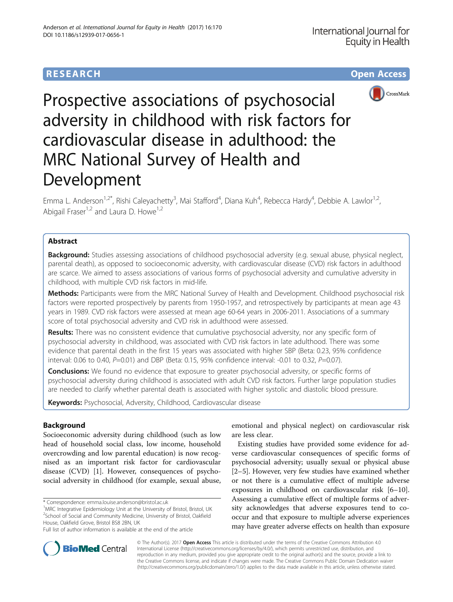# **RESEARCH CHE Open Access**



Prospective associations of psychosocial adversity in childhood with risk factors for cardiovascular disease in adulthood: the MRC National Survey of Health and Development

Emma L. Anderson<sup>1,2\*</sup>, Rishi Caleyachetty<sup>3</sup>, Mai Stafford<sup>4</sup>, Diana Kuh<sup>4</sup>, Rebecca Hardy<sup>4</sup>, Debbie A. Lawlor<sup>1,2</sup>, Abigail Fraser<sup>1,2</sup> and Laura D. Howe<sup>1,2</sup>

## Abstract

**Background:** Studies assessing associations of childhood psychosocial adversity (e.g. sexual abuse, physical neglect, parental death), as opposed to socioeconomic adversity, with cardiovascular disease (CVD) risk factors in adulthood are scarce. We aimed to assess associations of various forms of psychosocial adversity and cumulative adversity in childhood, with multiple CVD risk factors in mid-life.

Methods: Participants were from the MRC National Survey of Health and Development. Childhood psychosocial risk factors were reported prospectively by parents from 1950-1957, and retrospectively by participants at mean age 43 years in 1989. CVD risk factors were assessed at mean age 60-64 years in 2006-2011. Associations of a summary score of total psychosocial adversity and CVD risk in adulthood were assessed.

Results: There was no consistent evidence that cumulative psychosocial adversity, nor any specific form of psychosocial adversity in childhood, was associated with CVD risk factors in late adulthood. There was some evidence that parental death in the first 15 years was associated with higher SBP (Beta: 0.23, 95% confidence interval: 0.06 to 0.40,  $P=0.01$ ) and DBP (Beta: 0.15, 95% confidence interval: -0.01 to 0.32,  $P=0.07$ ).

**Conclusions:** We found no evidence that exposure to greater psychosocial adversity, or specific forms of psychosocial adversity during childhood is associated with adult CVD risk factors. Further large population studies are needed to clarify whether parental death is associated with higher systolic and diastolic blood pressure.

Keywords: Psychosocial, Adversity, Childhood, Cardiovascular disease

## Background

Socioeconomic adversity during childhood (such as low head of household social class, low income, household overcrowding and low parental education) is now recognised as an important risk factor for cardiovascular disease (CVD) [[1\]](#page-6-0). However, consequences of psychosocial adversity in childhood (for example, sexual abuse,

\* Correspondence: [emma.louise.anderson@bristol.ac.uk](mailto:emma.louise.anderson@bristol.ac.uk) <sup>1</sup>

<sup>1</sup>MRC Integrative Epidemiology Unit at the University of Bristol, Bristol, UK <sup>2</sup>School of Social and Community Medicine, University of Bristol, Oakfield House, Oakfield Grove, Bristol BS8 2BN, UK

emotional and physical neglect) on cardiovascular risk are less clear.

Existing studies have provided some evidence for adverse cardiovascular consequences of specific forms of psychosocial adversity; usually sexual or physical abuse [[2](#page-6-0)–[5\]](#page-6-0). However, very few studies have examined whether or not there is a cumulative effect of multiple adverse exposures in childhood on cardiovascular risk [[6](#page-6-0)–[10](#page-6-0)]. Assessing a cumulative effect of multiple forms of adversity acknowledges that adverse exposures tend to cooccur and that exposure to multiple adverse experiences may have greater adverse effects on health than exposure



© The Author(s). 2017 **Open Access** This article is distributed under the terms of the Creative Commons Attribution 4.0 International License [\(http://creativecommons.org/licenses/by/4.0/](http://creativecommons.org/licenses/by/4.0/)), which permits unrestricted use, distribution, and reproduction in any medium, provided you give appropriate credit to the original author(s) and the source, provide a link to the Creative Commons license, and indicate if changes were made. The Creative Commons Public Domain Dedication waiver [\(http://creativecommons.org/publicdomain/zero/1.0/](http://creativecommons.org/publicdomain/zero/1.0/)) applies to the data made available in this article, unless otherwise stated.

Full list of author information is available at the end of the article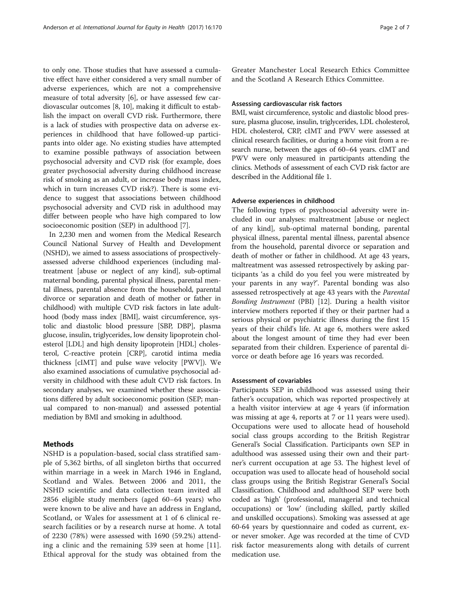to only one. Those studies that have assessed a cumulative effect have either considered a very small number of adverse experiences, which are not a comprehensive measure of total adversity [\[6](#page-6-0)], or have assessed few cardiovascular outcomes [\[8, 10\]](#page-6-0), making it difficult to establish the impact on overall CVD risk. Furthermore, there is a lack of studies with prospective data on adverse experiences in childhood that have followed-up participants into older age. No existing studies have attempted to examine possible pathways of association between psychosocial adversity and CVD risk (for example, does greater psychosocial adversity during childhood increase risk of smoking as an adult, or increase body mass index, which in turn increases CVD risk?). There is some evidence to suggest that associations between childhood psychosocial adversity and CVD risk in adulthood may differ between people who have high compared to low socioeconomic position (SEP) in adulthood [[7\]](#page-6-0).

In 2,230 men and women from the Medical Research Council National Survey of Health and Development (NSHD), we aimed to assess associations of prospectivelyassessed adverse childhood experiences (including maltreatment [abuse or neglect of any kind], sub-optimal maternal bonding, parental physical illness, parental mental illness, parental absence from the household, parental divorce or separation and death of mother or father in childhood) with multiple CVD risk factors in late adulthood (body mass index [BMI], waist circumference, systolic and diastolic blood pressure [SBP, DBP], plasma glucose, insulin, triglycerides, low density lipoprotein cholesterol [LDL] and high density lipoprotein [HDL] cholesterol, C-reactive protein [CRP], carotid intima media thickness [cIMT] and pulse wave velocity [PWV]). We also examined associations of cumulative psychosocial adversity in childhood with these adult CVD risk factors. In secondary analyses, we examined whether these associations differed by adult socioeconomic position (SEP; manual compared to non-manual) and assessed potential mediation by BMI and smoking in adulthood.

### Methods

NSHD is a population-based, social class stratified sample of 5,362 births, of all singleton births that occurred within marriage in a week in March 1946 in England, Scotland and Wales. Between 2006 and 2011, the NSHD scientific and data collection team invited all 2856 eligible study members (aged 60–64 years) who were known to be alive and have an address in England, Scotland, or Wales for assessment at 1 of 6 clinical research facilities or by a research nurse at home. A total of 2230 (78%) were assessed with 1690 (59.2%) attending a clinic and the remaining 539 seen at home [\[11](#page-6-0)]. Ethical approval for the study was obtained from the

Greater Manchester Local Research Ethics Committee and the Scotland A Research Ethics Committee.

### Assessing cardiovascular risk factors

BMI, waist circumference, systolic and diastolic blood pressure, plasma glucose, insulin, triglycerides, LDL cholesterol, HDL cholesterol, CRP, cIMT and PWV were assessed at clinical research facilities, or during a home visit from a research nurse, between the ages of 60–64 years. cIMT and PWV were only measured in participants attending the clinics. Methods of assessment of each CVD risk factor are described in the Additional file [1.](#page-5-0)

#### Adverse experiences in childhood

The following types of psychosocial adversity were included in our analyses: maltreatment [abuse or neglect of any kind], sub-optimal maternal bonding, parental physical illness, parental mental illness, parental absence from the household, parental divorce or separation and death of mother or father in childhood. At age 43 years, maltreatment was assessed retrospectively by asking participants 'as a child do you feel you were mistreated by your parents in any way?'. Parental bonding was also assessed retrospectively at age 43 years with the Parental Bonding Instrument (PBI) [\[12\]](#page-6-0). During a health visitor interview mothers reported if they or their partner had a serious physical or psychiatric illness during the first 15 years of their child's life. At age 6, mothers were asked about the longest amount of time they had ever been separated from their children. Experience of parental divorce or death before age 16 years was recorded.

### Assessment of covariables

Participants SEP in childhood was assessed using their father's occupation, which was reported prospectively at a health visitor interview at age 4 years (if information was missing at age 4, reports at 7 or 11 years were used). Occupations were used to allocate head of household social class groups according to the British Registrar General's Social Classification. Participants own SEP in adulthood was assessed using their own and their partner's current occupation at age 53. The highest level of occupation was used to allocate head of household social class groups using the British Registrar General's Social Classification. Childhood and adulthood SEP were both coded as 'high' (professional, managerial and technical occupations) or 'low' (including skilled, partly skilled and unskilled occupations). Smoking was assessed at age 60-64 years by questionnaire and coded as current, exor never smoker. Age was recorded at the time of CVD risk factor measurements along with details of current medication use.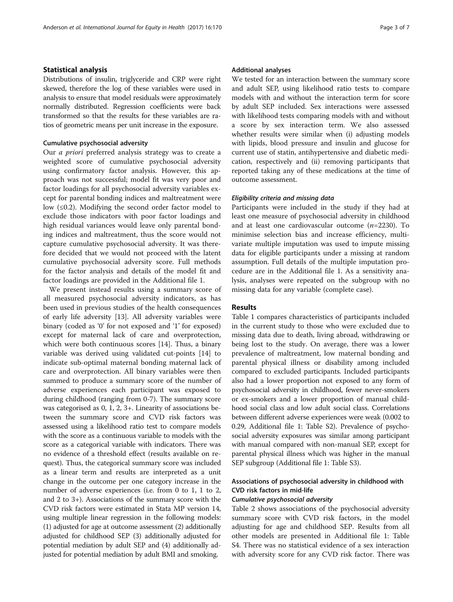### Statistical analysis

Distributions of insulin, triglyceride and CRP were right skewed, therefore the log of these variables were used in analysis to ensure that model residuals were approximately normally distributed. Regression coefficients were back transformed so that the results for these variables are ratios of geometric means per unit increase in the exposure.

#### Cumulative psychosocial adversity

Our a priori preferred analysis strategy was to create a weighted score of cumulative psychosocial adversity using confirmatory factor analysis. However, this approach was not successful; model fit was very poor and factor loadings for all psychosocial adversity variables except for parental bonding indices and maltreatment were low (≤0.2). Modifying the second order factor model to exclude those indicators with poor factor loadings and high residual variances would leave only parental bonding indices and maltreatment, thus the score would not capture cumulative psychosocial adversity. It was therefore decided that we would not proceed with the latent cumulative psychosocial adversity score. Full methods for the factor analysis and details of the model fit and factor loadings are provided in the Additional file [1](#page-5-0).

We present instead results using a summary score of all measured psychosocial adversity indicators, as has been used in previous studies of the health consequences of early life adversity [\[13\]](#page-6-0). All adversity variables were binary (coded as '0' for not exposed and '1' for exposed) except for maternal lack of care and overprotection, which were both continuous scores [\[14](#page-6-0)]. Thus, a binary variable was derived using validated cut-points [[14](#page-6-0)] to indicate sub-optimal maternal bonding maternal lack of care and overprotection. All binary variables were then summed to produce a summary score of the number of adverse experiences each participant was exposed to during childhood (ranging from 0-7). The summary score was categorised as 0, 1, 2, 3+. Linearity of associations between the summary score and CVD risk factors was assessed using a likelihood ratio test to compare models with the score as a continuous variable to models with the score as a categorical variable with indicators. There was no evidence of a threshold effect (results available on request). Thus, the categorical summary score was included as a linear term and results are interpreted as a unit change in the outcome per one category increase in the number of adverse experiences (i.e. from 0 to 1, 1 to 2, and 2 to 3+). Associations of the summary score with the CVD risk factors were estimated in Stata MP version 14, using multiple linear regression in the following models: (1) adjusted for age at outcome assessment (2) additionally adjusted for childhood SEP (3) additionally adjusted for potential mediation by adult SEP and (4) additionally adjusted for potential mediation by adult BMI and smoking.

#### Additional analyses

We tested for an interaction between the summary score and adult SEP, using likelihood ratio tests to compare models with and without the interaction term for score by adult SEP included. Sex interactions were assessed with likelihood tests comparing models with and without a score by sex interaction term. We also assessed whether results were similar when (i) adjusting models with lipids, blood pressure and insulin and glucose for current use of statin, antihypertensive and diabetic medication, respectively and (ii) removing participants that reported taking any of these medications at the time of outcome assessment.

#### Eligibility criteria and missing data

Participants were included in the study if they had at least one measure of psychosocial adversity in childhood and at least one cardiovascular outcome  $(n=2230)$ . To minimise selection bias and increase efficiency, multivariate multiple imputation was used to impute missing data for eligible participants under a missing at random assumption. Full details of the multiple imputation procedure are in the Additional file [1](#page-5-0). As a sensitivity analysis, analyses were repeated on the subgroup with no missing data for any variable (complete case).

### Results

Table [1](#page-3-0) compares characteristics of participants included in the current study to those who were excluded due to missing data due to death, living abroad, withdrawing or being lost to the study. On average, there was a lower prevalence of maltreatment, low maternal bonding and parental physical illness or disability among included compared to excluded participants. Included participants also had a lower proportion not exposed to any form of psychosocial adversity in childhood, fewer never-smokers or ex-smokers and a lower proportion of manual childhood social class and low adult social class. Correlations between different adverse experiences were weak (0.002 to 0.29, Additional file [1:](#page-5-0) Table S2). Prevalence of psychosocial adversity exposures was similar among participant with manual compared with non-manual SEP, except for parental physical illness which was higher in the manual SEP subgroup (Additional file [1:](#page-5-0) Table S3).

## Associations of psychosocial adversity in childhood with CVD risk factors in mid-life

### Cumulative psychosocial adversity

Table [2](#page-4-0) shows associations of the psychosocial adversity summary score with CVD risk factors, in the model adjusting for age and childhood SEP. Results from all other models are presented in Additional file [1:](#page-5-0) Table S4. There was no statistical evidence of a sex interaction with adversity score for any CVD risk factor. There was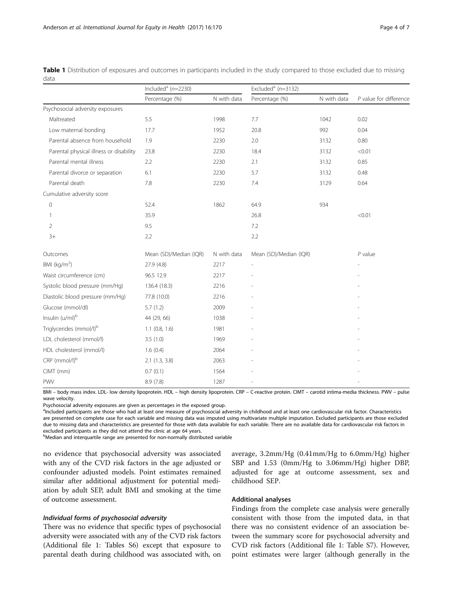<span id="page-3-0"></span>

|      |  | Table 1 Distribution of exposures and outcomes in participants included in the study compared to those excluded due to missing |  |  |  |  |
|------|--|--------------------------------------------------------------------------------------------------------------------------------|--|--|--|--|
| data |  |                                                                                                                                |  |  |  |  |

|                                         | Included <sup>a</sup> ( $n=2230$ ) |             | Excluded <sup>a</sup> ( $n=3132$ ) |             |                          |  |
|-----------------------------------------|------------------------------------|-------------|------------------------------------|-------------|--------------------------|--|
|                                         | Percentage (%)                     | N with data | Percentage (%)                     | N with data | $P$ value for difference |  |
| Psychosocial adversity exposures        |                                    |             |                                    |             |                          |  |
| Maltreated                              | 5.5                                | 1998        | 7.7                                | 1042        | 0.02                     |  |
| Low maternal bonding                    | 17.7                               | 1952        | 20.8                               | 992         | 0.04                     |  |
| Parental absence from household         | 1.9                                | 2230        | 2.0                                | 3132        | 0.80                     |  |
| Parental physical illness or disability | 23.8                               | 2230        | 18.4                               | 3132        | < 0.01                   |  |
| Parental mental illness                 | 2.2                                | 2230        | 2.1                                | 3132        | 0.85                     |  |
| Parental divorce or separation          | 6.1                                | 2230        | 5.7                                | 3132        | 0.48                     |  |
| Parental death                          | 7.8                                | 2230        | 7.4                                | 3129        | 0.64                     |  |
| Cumulative adversity score              |                                    |             |                                    |             |                          |  |
| $\mathbf 0$                             | 52.4                               | 1862        | 64.9                               | 934         |                          |  |
|                                         | 35.9                               |             | 26.8                               |             | < 0.01                   |  |
| $\overline{2}$                          | 9.5                                |             | 7.2                                |             |                          |  |
| $3+$                                    | 2.2                                |             | 2.2                                |             |                          |  |
| Outcomes                                | Mean (SD)/Median (IQR)             | N with data | Mean (SD)/Median (IQR)             |             | $P$ value                |  |
| BMI $(kq/m2)$                           | 27.9 (4.8)                         | 2217        |                                    |             |                          |  |
| Waist circumference (cm)                | 96.5 12.9                          | 2217        |                                    |             |                          |  |
| Systolic blood pressure (mm/Hg)         | 136.4 (18.3)                       | 2216        |                                    |             |                          |  |
| Diastolic blood pressure (mm/Hg)        | 77.8 (10.0)                        | 2216        |                                    |             |                          |  |
| Glucose (mmol/dl)                       | 5.7(1.2)                           | 2009        |                                    |             |                          |  |
| Insulin (u/ml)b                         | 44 (29, 66)                        | 1038        |                                    |             |                          |  |
| Triglycerides (mmol/I) <sup>b</sup>     | $1.1$ (0.8, 1.6)                   | 1981        |                                    |             |                          |  |
| LDL cholesterol (mmol/l)                | 3.5(1.0)                           | 1969        |                                    |             |                          |  |
| HDL cholesterol (mmol/l)                | 1.6(0.4)                           | 2064        |                                    |             |                          |  |
| CRP (mmol/l)b                           | $2.1$ $(1.3, 3.8)$                 | 2063        |                                    |             |                          |  |
| CIMT (mm)                               | 0.7(0.1)                           | 1564        |                                    |             |                          |  |
| PWV                                     | 8.9(7.8)                           | 1287        |                                    |             |                          |  |

BMI – body mass index. LDL- low density lipoprotein. HDL – high density lipoprotein. CRP – C-reactive protein. CIMT – carotid intima-media thickness. PWV – pulse wave velocity.

Psychosocial adversity exposures are given as percentages in the exposed group.

<sup>a</sup>Included participants are those who had at least one measure of psychosocial adversity in childhood and at least one cardiovascular risk factor. Characteristics are presented on complete case for each variable and missing data was imputed using multivariate multiple imputation. Excluded participants are those excluded due to missing data and characteristics are presented for those with data available for each variable. There are no available data for cardiovascular risk factors in excluded participants as they did not attend the clinic at age 64 years.

<sup>b</sup>Median and interquartile range are presented for non-normally distributed variable

no evidence that psychosocial adversity was associated with any of the CVD risk factors in the age adjusted or confounder adjusted models. Point estimates remained similar after additional adjustment for potential mediation by adult SEP, adult BMI and smoking at the time of outcome assessment.

### Individual forms of psychosocial adversity

There was no evidence that specific types of psychosocial adversity were associated with any of the CVD risk factors (Additional file [1](#page-5-0): Tables S6) except that exposure to parental death during childhood was associated with, on average, 3.2mm/Hg (0.41mm/Hg to 6.0mm/Hg) higher SBP and 1.53 (0mm/Hg to 3.06mm/Hg) higher DBP, adjusted for age at outcome assessment, sex and childhood SEP.

#### Additional analyses

Findings from the complete case analysis were generally consistent with those from the imputed data, in that there was no consistent evidence of an association between the summary score for psychosocial adversity and CVD risk factors (Additional file [1:](#page-5-0) Table S7). However, point estimates were larger (although generally in the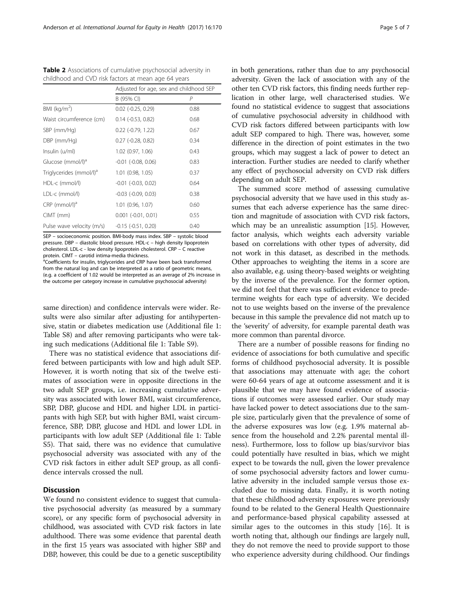<span id="page-4-0"></span>Table 2 Associations of cumulative psychosocial adversity in childhood and CVD risk factors at mean age 64 years

|                                     | Adjusted for age, sex and childhood SEP |      |  |  |
|-------------------------------------|-----------------------------------------|------|--|--|
|                                     | B (95% CI)                              | P    |  |  |
| BMI ( $kg/m2$ )                     | $0.02$ ( $-0.25$ , $0.29$ )             | 0.88 |  |  |
| Waist circumference (cm)            | $0.14$ $(-0.53, 0.82)$                  | 0.68 |  |  |
| SBP (mm/Hq)                         | $0.22$ ( $-0.79$ , 1.22)                | 0.67 |  |  |
| DBP (mm/Hg)                         | $0.27$ ( $-0.28$ , $0.82$ )             | 0.34 |  |  |
| Insulin (u/ml)                      | 1.02 (0.97, 1.06)                       | 0.43 |  |  |
| Glucose (mmol/l) <sup>d</sup>       | $-0.01$ $(-0.08, 0.06)$                 | 0.83 |  |  |
| Triglycerides (mmol/l) <sup>a</sup> | 1.01 (0.98, 1.05)                       | 0.37 |  |  |
| $HDL-c$ (mmol/l)                    | $-0.01$ $(-0.03, 0.02)$                 | 0.64 |  |  |
| LDL-c (mmol/l)                      | $-0.03$ $(-0.09, 0.03)$                 | 0.38 |  |  |
| $CRP$ (mmol/l) <sup>a</sup>         | 1.01 (0.96, 1.07)                       | 0.60 |  |  |
| $CIMT$ (mm)                         | $0.001$ $(-0.01, 0.01)$                 | 0.55 |  |  |
| Pulse wave velocity (m/s)           | $-0.15$ $(-0.51, 0.20)$                 | 0.40 |  |  |

SEP – socioeconomic position. BMI-body mass index. SBP – systolic blood pressure. DBP – diastolic blood pressure. HDL-c – high density lipoprotein cholesterol. LDL-c - low density lipoprotein cholesterol. CRP – C reactive protein. CIMT – carotid intima-media thickness.

<sup>a</sup>Coefficients for insulin, triglycerides and CRP have been back transformed from the natural log and can be interpreted as a ratio of geometric means, (e.g. a coefficient of 1.02 would be interpreted as an average of 2% increase in the outcome per category increase in cumulative psychosocial adversity)

same direction) and confidence intervals were wider. Results were also similar after adjusting for antihypertensive, statin or diabetes medication use (Additional file [1](#page-5-0): Table S8) and after removing participants who were taking such medications (Additional file [1:](#page-5-0) Table S9).

There was no statistical evidence that associations differed between participants with low and high adult SEP. However, it is worth noting that six of the twelve estimates of association were in opposite directions in the two adult SEP groups, i.e. increasing cumulative adversity was associated with lower BMI, waist circumference, SBP, DBP, glucose and HDL and higher LDL in participants with high SEP, but with higher BMI, waist circumference, SBP, DBP, glucose and HDL and lower LDL in participants with low adult SEP (Additional file [1:](#page-5-0) Table S5). That said, there was no evidence that cumulative psychosocial adversity was associated with any of the CVD risk factors in either adult SEP group, as all confidence intervals crossed the null.

## **Discussion**

We found no consistent evidence to suggest that cumulative psychosocial adversity (as measured by a summary score), or any specific form of psychosocial adversity in childhood, was associated with CVD risk factors in late adulthood. There was some evidence that parental death in the first 15 years was associated with higher SBP and DBP, however, this could be due to a genetic susceptibility in both generations, rather than due to any psychosocial adversity. Given the lack of association with any of the other ten CVD risk factors, this finding needs further replication in other large, well characterised studies. We found no statistical evidence to suggest that associations of cumulative psychosocial adversity in childhood with CVD risk factors differed between participants with low adult SEP compared to high. There was, however, some difference in the direction of point estimates in the two groups, which may suggest a lack of power to detect an interaction. Further studies are needed to clarify whether any effect of psychosocial adversity on CVD risk differs depending on adult SEP.

The summed score method of assessing cumulative psychosocial adversity that we have used in this study assumes that each adverse experience has the same direction and magnitude of association with CVD risk factors, which may be an unrealistic assumption [[15\]](#page-6-0). However, factor analysis, which weights each adversity variable based on correlations with other types of adversity, did not work in this dataset, as described in the methods. Other approaches to weighting the items in a score are also available, e.g. using theory-based weights or weighting by the inverse of the prevalence. For the former option, we did not feel that there was sufficient evidence to predetermine weights for each type of adversity. We decided not to use weights based on the inverse of the prevalence because in this sample the prevalence did not match up to the 'severity' of adversity, for example parental death was more common than parental divorce.

There are a number of possible reasons for finding no evidence of associations for both cumulative and specific forms of childhood psychosocial adversity. It is possible that associations may attenuate with age; the cohort were 60-64 years of age at outcome assessment and it is plausible that we may have found evidence of associations if outcomes were assessed earlier. Our study may have lacked power to detect associations due to the sample size, particularly given that the prevalence of some of the adverse exposures was low (e.g. 1.9% maternal absence from the household and 2.2% parental mental illness). Furthermore, loss to follow up bias/survivor bias could potentially have resulted in bias, which we might expect to be towards the null, given the lower prevalence of some psychosocial adversity factors and lower cumulative adversity in the included sample versus those excluded due to missing data. Finally, it is worth noting that these childhood adversity exposures were previously found to be related to the General Health Questionnaire and performance-based physical capability assessed at similar ages to the outcomes in this study [\[16](#page-6-0)]. It is worth noting that, although our findings are largely null, they do not remove the need to provide support to those who experience adversity during childhood. Our findings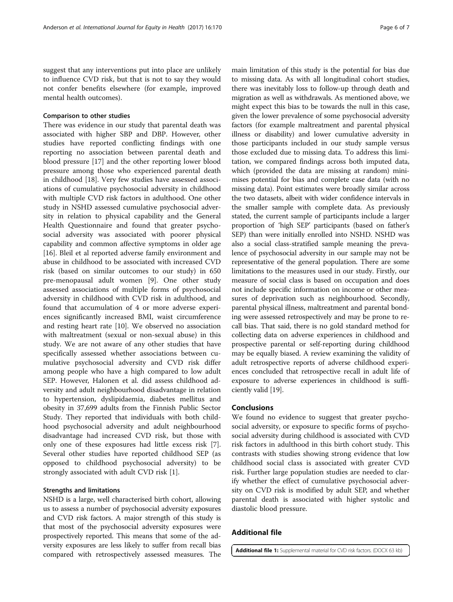<span id="page-5-0"></span>suggest that any interventions put into place are unlikely to influence CVD risk, but that is not to say they would not confer benefits elsewhere (for example, improved mental health outcomes).

### Comparison to other studies

There was evidence in our study that parental death was associated with higher SBP and DBP. However, other studies have reported conflicting findings with one reporting no association between parental death and blood pressure [[17\]](#page-6-0) and the other reporting lower blood pressure among those who experienced parental death in childhood [[18\]](#page-6-0). Very few studies have assessed associations of cumulative psychosocial adversity in childhood with multiple CVD risk factors in adulthood. One other study in NSHD assessed cumulative psychosocial adversity in relation to physical capability and the General Health Questionnaire and found that greater psychosocial adversity was associated with poorer physical capability and common affective symptoms in older age [[16\]](#page-6-0). Bleil et al reported adverse family environment and abuse in childhood to be associated with increased CVD risk (based on similar outcomes to our study) in 650 pre-menopausal adult women [[9\]](#page-6-0). One other study assessed associations of multiple forms of psychosocial adversity in childhood with CVD risk in adulthood, and found that accumulation of 4 or more adverse experiences significantly increased BMI, waist circumference and resting heart rate [\[10](#page-6-0)]. We observed no association with maltreatment (sexual or non-sexual abuse) in this study. We are not aware of any other studies that have specifically assessed whether associations between cumulative psychosocial adversity and CVD risk differ among people who have a high compared to low adult SEP. However, Halonen et al. did assess childhood adversity and adult neighbourhood disadvantage in relation to hypertension, dyslipidaemia, diabetes mellitus and obesity in 37,699 adults from the Finnish Public Sector Study. They reported that individuals with both childhood psychosocial adversity and adult neighbourhood disadvantage had increased CVD risk, but those with only one of these exposures had little excess risk [\[7](#page-6-0)]. Several other studies have reported childhood SEP (as opposed to childhood psychosocial adversity) to be strongly associated with adult CVD risk [[1\]](#page-6-0).

### Strengths and limitations

NSHD is a large, well characterised birth cohort, allowing us to assess a number of psychosocial adversity exposures and CVD risk factors. A major strength of this study is that most of the psychosocial adversity exposures were prospectively reported. This means that some of the adversity exposures are less likely to suffer from recall bias compared with retrospectively assessed measures. The main limitation of this study is the potential for bias due to missing data. As with all longitudinal cohort studies, there was inevitably loss to follow-up through death and migration as well as withdrawals. As mentioned above, we might expect this bias to be towards the null in this case, given the lower prevalence of some psychosocial adversity factors (for example maltreatment and parental physical illness or disability) and lower cumulative adversity in those participants included in our study sample versus those excluded due to missing data. To address this limitation, we compared findings across both imputed data, which (provided the data are missing at random) minimises potential for bias and complete case data (with no missing data). Point estimates were broadly similar across the two datasets, albeit with wider confidence intervals in the smaller sample with complete data. As previously stated, the current sample of participants include a larger proportion of 'high SEP' participants (based on father's SEP) than were initially enrolled into NSHD. NSHD was also a social class-stratified sample meaning the prevalence of psychosocial adversity in our sample may not be representative of the general population. There are some limitations to the measures used in our study. Firstly, our measure of social class is based on occupation and does not include specific information on income or other measures of deprivation such as neighbourhood. Secondly, parental physical illness, maltreatment and parental bonding were assessed retrospectively and may be prone to recall bias. That said, there is no gold standard method for collecting data on adverse experiences in childhood and prospective parental or self-reporting during childhood may be equally biased. A review examining the validity of adult retrospective reports of adverse childhood experiences concluded that retrospective recall in adult life of exposure to adverse experiences in childhood is sufficiently valid [\[19\]](#page-6-0).

### Conclusions

We found no evidence to suggest that greater psychosocial adversity, or exposure to specific forms of psychosocial adversity during childhood is associated with CVD risk factors in adulthood in this birth cohort study. This contrasts with studies showing strong evidence that low childhood social class is associated with greater CVD risk. Further large population studies are needed to clarify whether the effect of cumulative psychosocial adversity on CVD risk is modified by adult SEP, and whether parental death is associated with higher systolic and diastolic blood pressure.

### Additional file

[Additional file 1:](dx.doi.org/10.1186/s12939-017-0656-1) Supplemental material for CVD risk factors. (DOCX 63 kb)